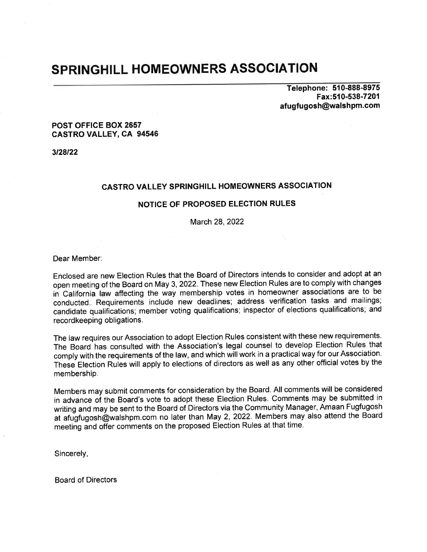## SPRINGHILL HOMEOWNERS ASSOCIATION

Telephone: 510-888-8975 Fax:510-538-7201 afugfugosh@walshpm.com

#### POST OFFICE BOX 2657 CASTRO VALLEY, CA 94546

3/28/22

## CASTRO VALLEY SPRINGHILL HOMEOWNERS ASSOCIATION

#### NOTICE OF PROPOSED ELECTION RULES

March 28, 2022

Dear Member:

Enclosed are new Election Rules that the Board of Directors intends to consider and adopt at an open meeting of the Board on May 3,2022. These new Election Rules are to comply with changes in California law affecting the way membership votes in homeowner associations are to be conducted. Requirements include new deadlines; address verification tasks and mailings; candidate qualifications; member voting qualifications; inspector of elections qualifications; and recordkeeping obligations.

The law requires our Association to adopt Election Rules consistent with these new requirements. The Board has consulted with the Association's legal counsel to develop Election Rules that comply with the requirements of the law, and which will work in a practical way for our Association. These Election Rules will apply to elections of directors as well as any other official votes by the membership.

Members may submit comments for consideration by the Board. All comments will be considered in advance of the Board's vote to adopt these Election Rules. Comments may be submitted in writing and may be sent to the Board of Directors via the Community Manager, Amaan Fugfugosh at afugfugosh@walshpm.com no later than May 2, 2022. Members may also attend the Board meeting and offer comments on the proposed Election Rules at that time.

Sincerely,

Board of Directors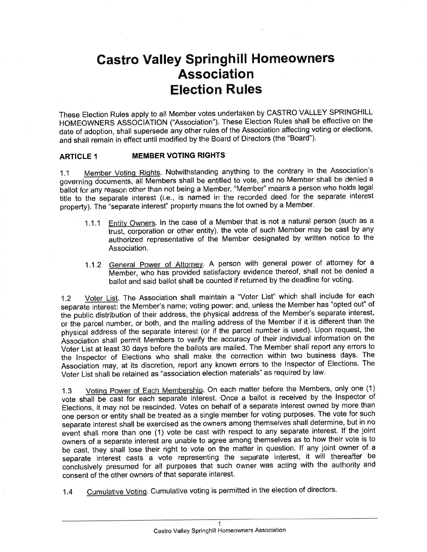# Gastro Valley Springhill Homeowners Association Election Rules

These Election Rules apply to all Member votes undertaken by CASTRO VALLEY SPRINGHILL HOMEOWNERS ASSOCIATION ("Association"). These Election Rules shall be effective on the date of adoption, shall supersede any other rules of the Association affecting voting or elections, and shall remain in effect until modified by the Board of Directors (the "Board").

#### ARTICLE 1 MEMBER VOTING RIGHTS

1.1 Member Voting Rights. Notwithstanding anything to the contrary in the Association's governing documents, all Members shall be entitled to vote, and no Member shall be denied a ballot for any reason other than not being a Member. "Member" means a person who holds legal ballot for any reason other than not being a wember. We have means a person who holds regularitie to the separate interest property). The "separate interest" property means the lot owned by a Member.

- 1.1.1 Entity Owners. ln the case of a Member that is not a natural person (such as <sup>a</sup> trust, corporation or other entity), the vote of such Member may be cast by any authorized representative of the Member designated by written notice to the Association
- 1.1.2 General Power of Attorney. A person with general power of attorney for a Member, who has provided satisfactory evidence thereof, shall not be denied a ballot and said ballot shall be counted if returned by the deadline for voting.

1.2 Voter List. The Association shall maintain a "Voter List" which shall include for each separate interest: the Member's name; voting power; and, unless the Member has "opted out" of the public distribution of their address, the physical address of the Member's separate interest, or the parcel number, or both, and the mailing address of the Member if it is different than the physical address of the separate interest (or if the parcel number is used). Upon request, the Association shall permit Members to verify the accuracy of their individual information on the Voter List at least 30 days before the ballots are mailed. The Member shall report any errors to the lnspector of Elections who shall make the correction within two business days. The Association may, at its discretion, report any known errors to the lnspector of Elections. The Voter List shall be retained as "association election materials" as required by law'

1.3 Votinq Power of Each Membership. On each matter before the Members, only one (1) vote shall be cast for each separate interest. Once a ballot is received by the Inspector of Elections, it may not be rescinded. Votes on behalf of a separate interest owned by more than one person or entity shall be treated as a single member for voting purposes. The vote for such separate interest shall be exercised as the owners among themselves shall determine, but in no event shall more than one (1) vote be cast with respect to any separate interest. If the joint owners of a separate interest are unable to agree among themselves as to how their vote is to be cast, they shall lose their right to vote on the matter in question. lf any joint owner of <sup>a</sup> separate inierest casts a vote representing the separate interest, it will thereafter be conclusively presumed for all purposes that such owner was acting with the authority and consent of the other owners of that separate interest.

1.4 Cumulative Votinq. Cumulative voting is permitted in the election of directors.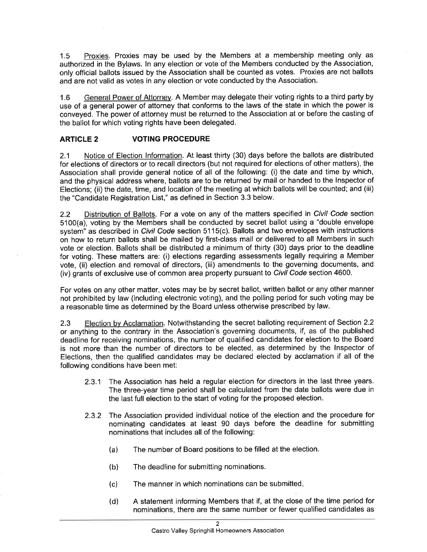1.5 Proxies. Proxies may be used by the Members at a membership meeting only as authorized in the Bylaws. ln any election or vote of the Members conducted by the Association, only official ballots issued by the Association shall be counted as votes. Proxies are not ballots and are not valid as votes in any election or vote conducted by the Association.

1.6 General Power of Attornev. A Member may delegate their voting rights to a third party by use of a general power of attorney that conforms to the laws of the state in which the power is conveyed. The power of attorney must be returned to the Association at or before the casting of the ballot for which voting rights have been delegated.

#### ARTICLE 2 VOTING PROCEDURE

2.1 Notice of Election lnformation. At least thirty (30) days before the ballots are distributed for elections of directors or to recall directors (but not required for elections of other matters), the Association shall provide general notice of all of the following: (i) the date and time by which, and the physical address where, ballots are to be returned by mail or handed to the lnspector of Elections; (ii) the date, time, and location of the meeting at which ballots will be counted; and (iii) the "Candidate Registration List," as defined in Section 3.3 below.

2.2 Distribution of Ballots. For a vote on any of the matters specified in Civil Code section 5100(a), voting by the Members shall be conducted by secret ballot using a "double envelope system" as described in Civil Code section 51 15(c). Ballots and two envelopes with instructions on how to return ballots shall be mailed by first-class mail or delivered to all Members in such vote or election. Ballots shall be distributed a minimum of thirty (30) days prior to the deadline for voting. These matters are: (i) elections regarding assessments legally requiring a Member vote, (ii) election and removal of directors, (iii) amendments to the governing documents, and (iv) grants of exclusive use of common area property pursuant to *Civil Code* section 4600.

For votes on any other matter, votes may be by secret ballot, written ballot or any other manner not prohibited by law (including electronic voting), and the polling period for such voting may be a reasonable time as determined by the Board unless othenruise prescribed by law.

2.3 Election bv Acclamation. Notwithstanding the secret balloting requirement of Section 2.2 or anything to the contrary in the Association's governing documents, if, as of the published deadline for receiving nominations, the number of qualified candidates for election to the Board is not more than the number of directors to be elected, as determined by the lnspector of Elections, then the qualified candidates may be declared elected by acclamation if all of the following conditions have been met:

- 2.3.1 The Association has held a regular election for directors in the last three years. The three-year time period shall be calculated from the date ballots were due in the last full election to the start of voting for the proposed election.
- 2.3.2 The Association provided individual notice of the election and the procedure for nominating candidates at least 90 days before the deadline for submitting nominations that includes all of the following:
	- (a) The number of Board positions to be filled at the election.
	- (b) The deadline for submitting nominations.
	- (c) The manner in which nominations can be submitted
	- (d) <sup>A</sup>statement informing Members that if, at the close of the time period for nominations, there are the same number or fewer qualified candidates as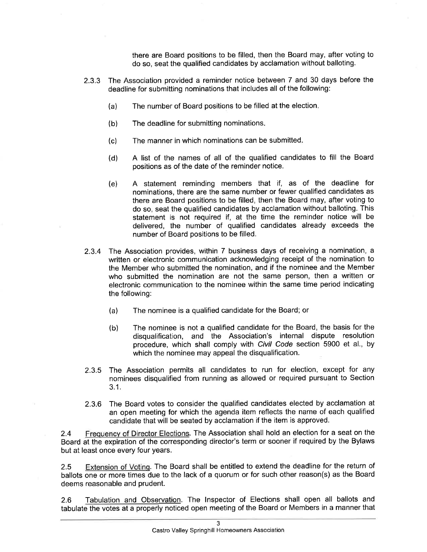there are Board positions to be filled, then the Board may, after voting to do so, seat the qualified candidates by acclamation without balloting.

- 2.3.3 The Association provided a reminder notice between 7 and 30 days before the deadline for submitting nominations that includes all of the following:
	- (a) The number of Board positions to be filled at the election
	- (b) The deadline for submitting nominations
	- (c) The manner in which nominations can be submitted
	- (d) A list of the names of all of the qualified candidates to fill the Board positions as of the date of the reminder notice.
	- (e) A statement reminding members that if, as of the deadline for nominations, there are the same number or fewer qualified candidates as there are Board positions to be filled, then the Board may, after voting to do so, seat the qualified candidates by acclamation without balloting. This statement is not required if, at the time the reminder notice will be delivered, the number of qualified candidates already exceeds the number of Board positions to be filled.
- 2.3.4 The Association provides, within 7 business days of receiving a nomination, <sup>a</sup> written or electronic communication acknowledging receipt of the nomination to the Member who submitted the nomination, and if the nominee and the Member who submitted the nomination are not the same person, then a written or electronic communication to the nominee within the same time period indicating the following:
	- (a) The nominee is a qualified candidate for the Board; or
	- (b) The nominee is not a qualified candidate for the Board, the basis for the disqualification, and the Association's internal dispute resolution procedure, which shall comply with Civil Code section 5900 et al., by which the nominee may appeal the disqualification.
- 2.3.5 The Association permits all candidates to run for election, except for any nominees disqualified from running as allowed or required pursuant to Section 3.1.
- 2.3.6 The Board votes to consider the qualified candidates elected by acclamation at an open meeting for which the agenda item reflects the name of each qualified candidate that will be seated by acclamation if the item is approved.

2.4 Frequency of Director Elections. The Association shall hold an election for a seat on the Board at the expiration of the corresponding director's term or sooner if required by the Bylaws but at least once every four years.

2.5 Extension of Voting. The Board shall be entitled to extend the deadline for the return of ballots one or more times due to the lack of a quorum or for such other reason(s) as the Board deems reasonable and prudent.

2.6 Tabulation and Observation. The lnspector of Elections shall open all ballots and tabulate the votes at a properly noticed open meeting of the Board or Members in a manner that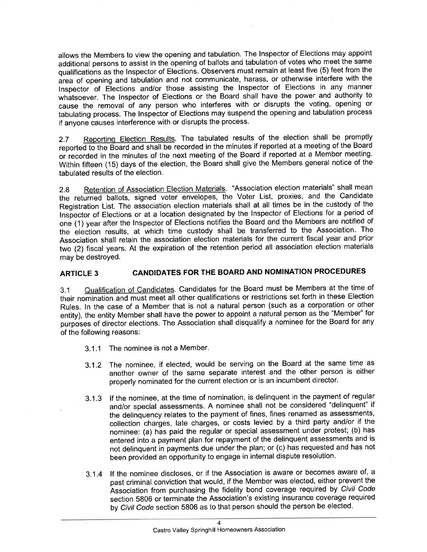allows the Members to view the opening and tabulation. The lnspector of Elections may appoint additional persons to assist in the opening of ballots and tabulation of votes who meet the same qualifications as the lnspector of Elections. Observers must remain at least five (5) feet from the area of opening and tabulation and not communicate, harass, or otherwise interfere with the lnspector of Elections and/or those assisting the lnspector of Elections in any manner whatsoever. The Inspector of Elections or the Board shall have the power and authority to cause the removal of any person who interferes with or disrupts the voting, opening or tabulating process. The lnspector of Elections may suspend the opening and tabulation process if anyone causes interference with or disrupts the process.

2.7 Reporting Election Results. The tabulated results of the election shall be promptly reported to the Board and shall be recorded in the minutes if reported at a meeting of the Board or recorded in the minutes of the next meeting of the Board if reported at a Member meeting' Within fifteen (15) days of the election, the Board shall give the Members general notice of the tabulated results of the election.

2.8 Retention of Association Election Materials. "Association election materials" shall mean the returned ballots, signed voter envelopes, the Voter List, proxies, and the Candidate Registration List. The association election materials shall at all times be in the custody of the Inspector of Elections or at a location designated by the Inspector of Elections for a period of one (1) year after the lnspector of Elections notifies the Board and the Members are notified of the election results, at which time custody shall be transferred to the Association. The Association shall retain the association election materials for the current fiscal year and prior two (2) fiscal years. At the expiration of the retention period all association election materials may be destroyed.

## ARTICLE 3 CANDIDATES FOR THE BOARD AND NOMINATION PROCEDURES

3.1 Qualification of Candidates. Candidates for the Board must be Members at the time of their nomination and must meet all other qualifications or restrictions set forth in these Election Rules. ln the case of a Member that is not a natural person (such as a corporation or other entity), the entity Member shall have the power to appoint a natural person as the "Member" for purposes of director elections. The Association shall disqualify a nominee for the Board for any of the following reasons:

- 3.1.1 The nominee is not a Member.
- 3.1.2 The nominee, if elected, would be serving on the Board at the same time as another owner of the same separate interest and the other person is either properly nominated for the current election or is an incumbent director.
- 3.1.3 lf the nominee, at the time of nomination, is delinquent in the payment of regular and/or special assessments. A nominee shall not be considered "delinquent" if the delinquency relates to the payment of fines, fines renamed as assessments, collection charges, late charges, or costs levied by a third party and/or if the nominee: (a) has paid the regular or special assessment under protest; (b) has entered into a payment plan for repayment of the delinquent assessments and is not delinquent in payments due under the plan; or (c) has requested and has not been provided an opportunity to engage in internal dispute resolution.
- 3.1.4 lf the nominee discloses, or if the Association is aware or becomes aware of, <sup>a</sup> past criminal conviction that would, if the Member was elected, either prevent the Association from purchasing the fidelity bond coverage required by Civil Code section 5806 or terminate the Association's existing insurance coverage required by Civil Code section 5806 as to that person should the person be elected.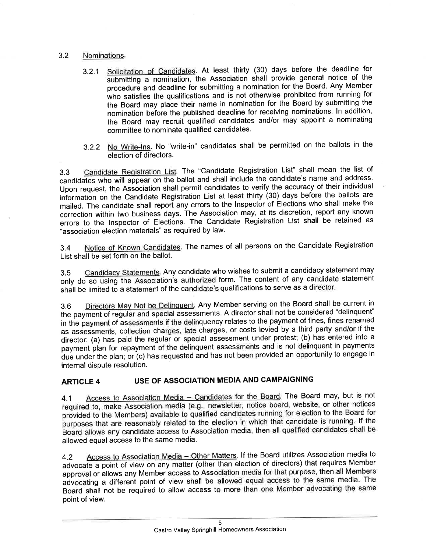#### 3.2 Nominations.

- 3.2.1 Solicitation of Candidates. At least thirty (30) days before the deadline for submitting a nomination, the Association shall provide general notice of the procedure and deadline for submitting a nomination for the Board. Any Member who satisfies the qualifications and is not otherwise prohibited from running for the Board may place their name in nomination for the Board by submitting the nomination before the published deadline for receiving nominations. In addition, the Board may recruit qualified candidates and/or may appoint a nominating committee to nominate qualified candidates.
- 3.2.2 No Write-lns. No "write-in" candidates shall be permitted on the ballots in the election of directors.

3.3 Candidate Reqistration List. The "Candidate Registration List" shall mean the list of candidates who will appear on the ballot and shall include the candidate's name and address. Upon request, the Association shall permit candidates to verify the accuracy of their individual iniormation on the Candidate Registration List at least thirty (30) days before the ballots are mailed. The candidate shall report any errors to the lnspector of Elections who shall make the correction within two business days. The Association may, at its discretion, report any known errors to the lnspector of Elections. The Candidate Registration List shall be retained as "association election materials" as required by law.

3.4 Notice of Known Candidates. The names of all persons on the Candidate Registration List shall be set forth on the ballot.

3.5 Candidacv Statements. Any candidate who wishes to submit a candidacy statement may only do so using the Association's authorized form. The content of any candidate statement shall be limited to a statement of the candidate's qualifications to serve as a director.

3.6 Directors Mav Not be Delinquent. Any Member serving on the Board shall be current in the payment of regular and special assessments. A director shall not be considered "delinquent" in the payment of assessments if the delinquency relates to the payment of fines, fines renamed as assessments, collection charges, late charges, or costs levied by a third party and/or if the director: (a) has paid the regular or special assessment under protest; (b) has entered into a payment plan for repayment of the delinquent assessments and is not delinquent in payments due under the plan; or (c) has requested and has not been provided an opportunity to engage in internal dispute resolution.

## ARTICLE 4 USE OF ASSOCIATION MEDIA AND CAMPAIGNING

4.1 Access to Association Media - Candidates for the Board. The Board may, but is not required to, make Association media (e.g., newsletter, notice board, website, or other notices provided to the Members) available to qualified candidates running for election to the Board for purposes that are reasonably related to the election in which that candidate is running. If the 'Board allows any candidate iccess to Association media, then all qualified candidates shall be allowed equal access to the same media.

4.2 Access to Association Media - Other Matters. If the Board utilizes Association media to advocate a point of view on any matter (other than election of directors) that requires Member approval or allows any Member access to Association media for that purpose, then all Members advocating a different point of view shall be allowed equal access to the same media. The Board shall not be required to allow access to more than one Member advocating the same point of view.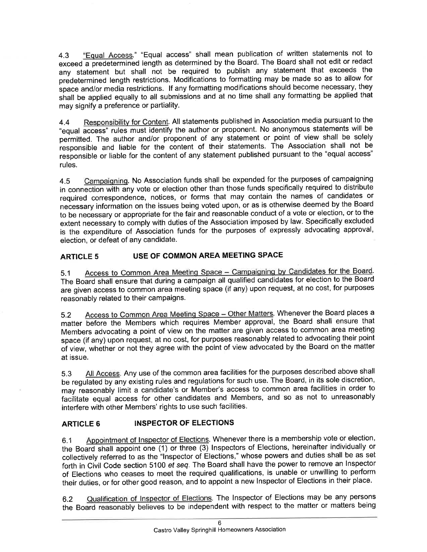4.3 "Equal Access." "Equal access" shall mean publication of written statements not to exceed a predetermined length as determined by the Board. The Board shall not edit or redact any statement but shall not be required to publish any statement that exceeds the predetermined length restrictions, Modifications to formatting may be made so as to allow for space and/or media restrictions. If any formatting modifications should become necessary, they shall be applied equally to all submissions and at no time shall any formatting be applied that may signify a preference or partiality.

4.4 Responsibility for Content. All statements published in Association media pursuant to the "equal access" rules must identify the author or proponent. No anonymous statements will be permitted. The author and/or proponent of any statement or point of view shall be solely responsible and liable for the content of their statements. The Association shall not be responsible or liable for the content of any statement published pursuant to the "equal access" rules.

4.5 Campaiqninq. No Association funds shall be expended for the purposes of campaigning in connection with any vote or election other than those funds specifically required to distribute required correspondence, notices, or forms that may contain the names of candidates or necessary information on the issues being voted upon, or as is otherwise deemed by the Board to be necessary or appropriate for the fair and reasonable conduct of a vote or election, or to the extent necessary to comply with duties of the Association imposed by law. Specifically excluded is the expenditure of Association funds for the purposes of expressly advocating approval, election, or defeat of any candidate.

### ARTICLE 5 USE OF COMMON AREA MEETING SPACE

5.1 Access to Common Area Meeting Space - Campaigning by Candidates for the Board. The Board shall ensure that during a campaign all qualified candidates for election to the Board are given access to common area meeting space (if any) upon request, at no cost, for purposes reasonably related to their campaigns.

5.2 Access to Common Area Meeting Space - Other Matters. Whenever the Board places a matter before the Members which requires Member approval, the Board shall ensure that Members advocating a point of view on the matter are given access to common area meeting space (if any) upon request, at no cost, for purposes reasonably related to advocating their point of view, whether or not they agree with the point of view advocated by the Board on the matter at issue.

5.3 All Access. Any use of the common area facilities for the purposes described above shall be regulated by any existing rules and regulations for such use. The Board, in its sole discretion, may reasonably limit a candidate's or Member's access to common area facilities in order to facilitate equal access for other candidates and Members, and so as not to unreasonably interfere with other Members' rights to use such facilities.

## ARTICLE 6 INSPECTOR OF ELECTIONS

6.1 Appointment of Inspector of Elections. Whenever there is a membership vote or election, the Board shall appoint one (1) or three  $\overline{(3)}$  Inspectors of Elections, hereinafter individually or collectively referred to as the "Inspector of Elections," whose powers and duties shall be as set forth in Civil Code section 5100 et seq. The Board shall have the power to remove an Inspector of Elections who ceases to meet the required qualifications, is unable or unwilling to perform their duties, or for other good reason, and to appoint a new Inspector of Elections in their place.

6.2 Qualification of Inspector of Elections. The Inspector of Elections may be any persons the Board reasonably believes to be independent with respect to the matter or matters being